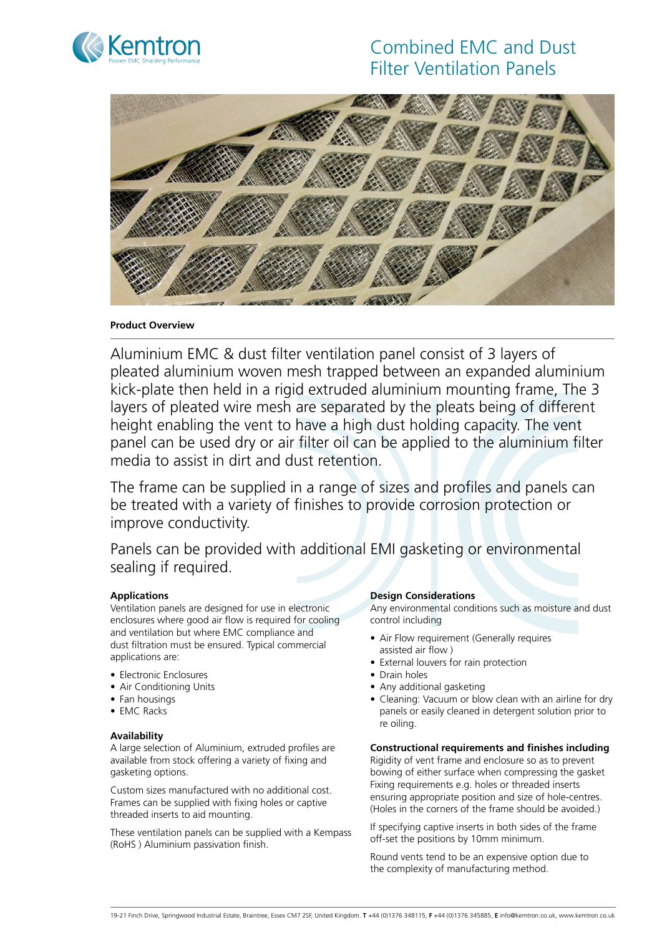

# Combined EMC and Dust Filter Ventilation Panels



## **Product Overview**

Aluminium EMC & dust filter ventilation panel consist of 3 layers of pleated aluminium woven mesh trapped between an expanded aluminium kick-plate then held in a rigid extruded aluminium mounting frame, The 3 layers of pleated wire mesh are separated by the pleats being of different height enabling the vent to have a high dust holding capacity. The vent panel can be used dry or air filter oil can be applied to the aluminium filter media to assist in dirt and dust retention.

The frame can be supplied in a range of sizes and profiles and panels can be treated with a variety of finishes to provide corrosion protection or improve conductivity.

Panels can be provided with additional EMI gasketing or environmental sealing if required.

# **Applications**

Ventilation panels are designed for use in electronic enclosures where good air flow is required for cooling and ventilation but where EMC compliance and dust filtration must be ensured. Typical commercial applications are:

- Electronic Enclosures
- Air Conditioning Units
- Fan housings
- EMC Racks

#### **Availability**

A large selection of Aluminium, extruded profiles are available from stock offering a variety of fixing and gasketing options.

Custom sizes manufactured with no additional cost. Frames can be supplied with fixing holes or captive threaded inserts to aid mounting.

These ventilation panels can be supplied with a Kempass (RoHS ) Aluminium passivation finish.

#### **Design Considerations**

Any environmental conditions such as moisture and dust control including

- Air Flow requirement (Generally requires assisted air flow )
- External louvers for rain protection
- Drain holes
- Any additional gasketing
- Cleaning: Vacuum or blow clean with an airline for dry panels or easily cleaned in detergent solution prior to re oiling.

#### **Constructional requirements and finishes including**

Rigidity of vent frame and enclosure so as to prevent bowing of either surface when compressing the gasket Fixing requirements e.g. holes or threaded inserts ensuring appropriate position and size of hole-centres. (Holes in the corners of the frame should be avoided.)

If specifying captive inserts in both sides of the frame off-set the positions by 10mm minimum.

Round vents tend to be an expensive option due to the complexity of manufacturing method.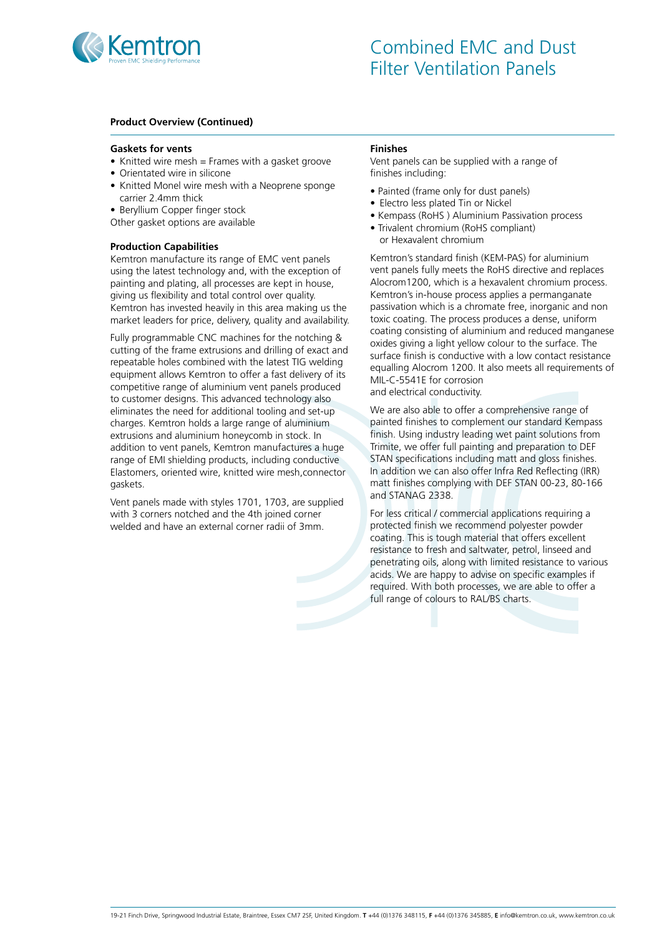

## **Product Overview (Continued)**

#### **Gaskets for vents**

- Knitted wire mesh  $=$  Frames with a gasket groove
- Orientated wire in silicone
- Knitted Monel wire mesh with a Neoprene sponge carrier 2.4mm thick
- Beryllium Copper finger stock
- Other gasket options are available

#### **Production Capabilities**

Kemtron manufacture its range of EMC vent panels using the latest technology and, with the exception of painting and plating, all processes are kept in house, giving us flexibility and total control over quality. Kemtron has invested heavily in this area making us the market leaders for price, delivery, quality and availability.

Fully programmable CNC machines for the notching & cutting of the frame extrusions and drilling of exact and repeatable holes combined with the latest TIG welding equipment allows Kemtron to offer a fast delivery of its competitive range of aluminium vent panels produced to customer designs. This advanced technology also eliminates the need for additional tooling and set-up charges. Kemtron holds a large range of aluminium extrusions and aluminium honeycomb in stock. In addition to vent panels, Kemtron manufactures a huge range of EMI shielding products, including conductive Elastomers, oriented wire, knitted wire mesh,connector gaskets.

Vent panels made with styles 1701, 1703, are supplied with 3 corners notched and the 4th joined corner welded and have an external corner radii of 3mm.

#### **Finishes**

Vent panels can be supplied with a range of finishes including:

- Painted (frame only for dust panels)
- Electro less plated Tin or Nickel
- Kempass (RoHS ) Aluminium Passivation process
- Trivalent chromium (RoHS compliant) or Hexavalent chromium

Kemtron's standard finish (KEM-PAS) for aluminium vent panels fully meets the RoHS directive and replaces Alocrom1200, which is a hexavalent chromium process. Kemtron's in-house process applies a permanganate passivation which is a chromate free, inorganic and non toxic coating. The process produces a dense, uniform coating consisting of aluminium and reduced manganese oxides giving a light yellow colour to the surface. The surface finish is conductive with a low contact resistance equalling Alocrom 1200. It also meets all requirements of MIL-C-5541E for corrosion and electrical conductivity.

We are also able to offer a comprehensive range of painted finishes to complement our standard Kempass finish. Using industry leading wet paint solutions from Trimite, we offer full painting and preparation to DEF STAN specifications including matt and gloss finishes. In addition we can also offer Infra Red Reflecting (IRR) matt finishes complying with DEF STAN 00-23, 80-166 and STANAG 2338.

For less critical / commercial applications requiring a protected finish we recommend polyester powder coating. This is tough material that offers excellent resistance to fresh and saltwater, petrol, linseed and penetrating oils, along with limited resistance to various acids. We are happy to advise on specific examples if required. With both processes, we are able to offer a full range of colours to RAL/BS charts.